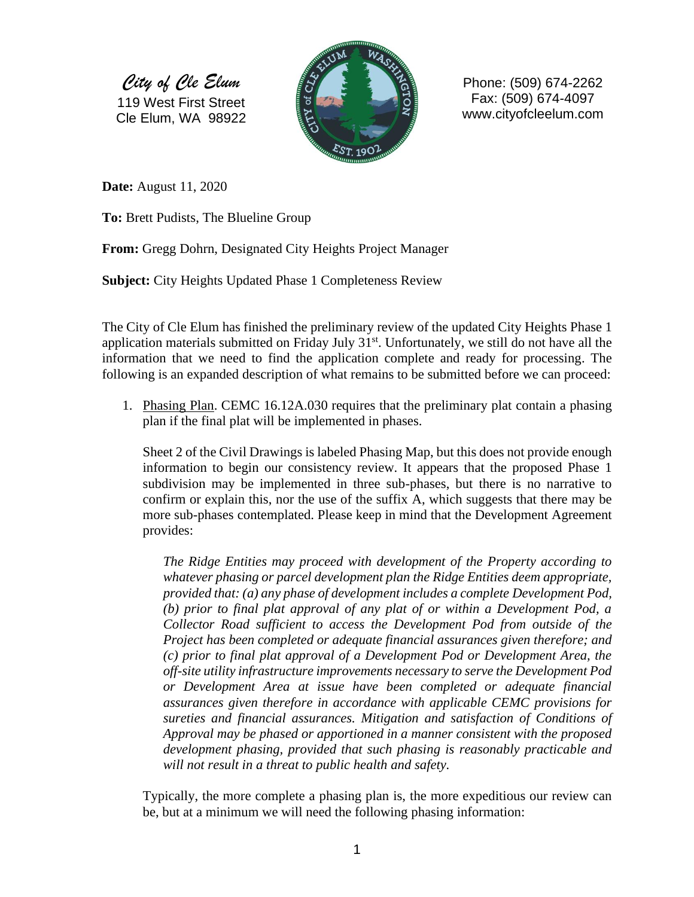*City of Cle Elum* 119 West First Street Cle Elum, WA 98922



Phone: (509) 674-2262 Fax: (509) 674-4097 www.cityofcleelum.com

**Date:** August 11, 2020

**To:** Brett Pudists, The Blueline Group

**From:** Gregg Dohrn, Designated City Heights Project Manager

**Subject:** City Heights Updated Phase 1 Completeness Review

The City of Cle Elum has finished the preliminary review of the updated City Heights Phase 1 application materials submitted on Friday July 31<sup>st</sup>. Unfortunately, we still do not have all the information that we need to find the application complete and ready for processing. The following is an expanded description of what remains to be submitted before we can proceed:

1. Phasing Plan. CEMC 16.12A.030 requires that the preliminary plat contain a phasing plan if the final plat will be implemented in phases.

Sheet 2 of the Civil Drawings is labeled Phasing Map, but this does not provide enough information to begin our consistency review. It appears that the proposed Phase 1 subdivision may be implemented in three sub-phases, but there is no narrative to confirm or explain this, nor the use of the suffix A, which suggests that there may be more sub-phases contemplated. Please keep in mind that the Development Agreement provides:

*The Ridge Entities may proceed with development of the Property according to whatever phasing or parcel development plan the Ridge Entities deem appropriate, provided that: (a) any phase of development includes a complete Development Pod, (b) prior to final plat approval of any plat of or within a Development Pod, a Collector Road sufficient to access the Development Pod from outside of the Project has been completed or adequate financial assurances given therefore; and (c) prior to final plat approval of a Development Pod or Development Area, the off-site utility infrastructure improvements necessary to serve the Development Pod or Development Area at issue have been completed or adequate financial assurances given therefore in accordance with applicable CEMC provisions for sureties and financial assurances. Mitigation and satisfaction of Conditions of Approval may be phased or apportioned in a manner consistent with the proposed development phasing, provided that such phasing is reasonably practicable and will not result in a threat to public health and safety.*

Typically, the more complete a phasing plan is, the more expeditious our review can be, but at a minimum we will need the following phasing information: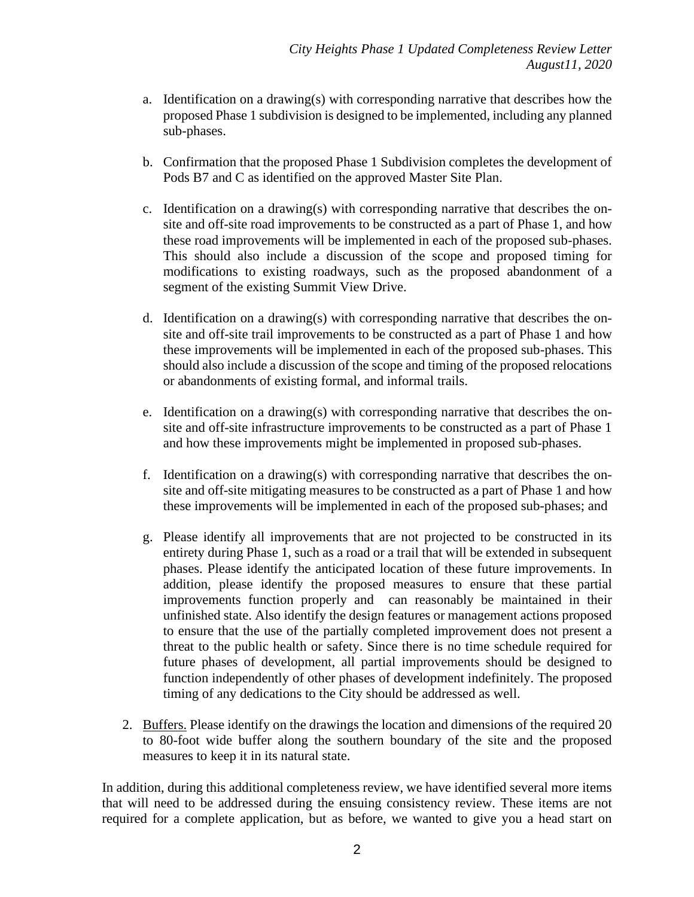- a. Identification on a drawing(s) with corresponding narrative that describes how the proposed Phase 1 subdivision is designed to be implemented, including any planned sub-phases.
- b. Confirmation that the proposed Phase 1 Subdivision completes the development of Pods B7 and C as identified on the approved Master Site Plan.
- c. Identification on a drawing(s) with corresponding narrative that describes the onsite and off-site road improvements to be constructed as a part of Phase 1, and how these road improvements will be implemented in each of the proposed sub-phases. This should also include a discussion of the scope and proposed timing for modifications to existing roadways, such as the proposed abandonment of a segment of the existing Summit View Drive.
- d. Identification on a drawing(s) with corresponding narrative that describes the onsite and off-site trail improvements to be constructed as a part of Phase 1 and how these improvements will be implemented in each of the proposed sub-phases. This should also include a discussion of the scope and timing of the proposed relocations or abandonments of existing formal, and informal trails.
- e. Identification on a drawing(s) with corresponding narrative that describes the onsite and off-site infrastructure improvements to be constructed as a part of Phase 1 and how these improvements might be implemented in proposed sub-phases.
- f. Identification on a drawing(s) with corresponding narrative that describes the onsite and off-site mitigating measures to be constructed as a part of Phase 1 and how these improvements will be implemented in each of the proposed sub-phases; and
- g. Please identify all improvements that are not projected to be constructed in its entirety during Phase 1, such as a road or a trail that will be extended in subsequent phases. Please identify the anticipated location of these future improvements. In addition, please identify the proposed measures to ensure that these partial improvements function properly and can reasonably be maintained in their unfinished state. Also identify the design features or management actions proposed to ensure that the use of the partially completed improvement does not present a threat to the public health or safety. Since there is no time schedule required for future phases of development, all partial improvements should be designed to function independently of other phases of development indefinitely. The proposed timing of any dedications to the City should be addressed as well.
- 2. Buffers. Please identify on the drawings the location and dimensions of the required 20 to 80-foot wide buffer along the southern boundary of the site and the proposed measures to keep it in its natural state.

In addition, during this additional completeness review, we have identified several more items that will need to be addressed during the ensuing consistency review. These items are not required for a complete application, but as before, we wanted to give you a head start on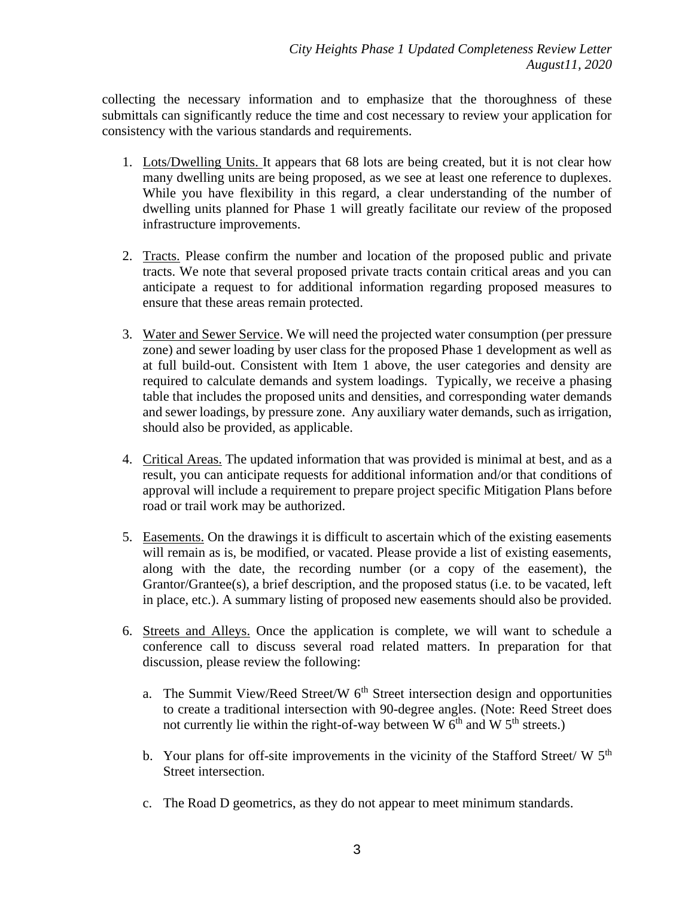collecting the necessary information and to emphasize that the thoroughness of these submittals can significantly reduce the time and cost necessary to review your application for consistency with the various standards and requirements.

- 1. Lots/Dwelling Units. It appears that 68 lots are being created, but it is not clear how many dwelling units are being proposed, as we see at least one reference to duplexes. While you have flexibility in this regard, a clear understanding of the number of dwelling units planned for Phase 1 will greatly facilitate our review of the proposed infrastructure improvements.
- 2. Tracts. Please confirm the number and location of the proposed public and private tracts. We note that several proposed private tracts contain critical areas and you can anticipate a request to for additional information regarding proposed measures to ensure that these areas remain protected.
- 3. Water and Sewer Service. We will need the projected water consumption (per pressure zone) and sewer loading by user class for the proposed Phase 1 development as well as at full build-out. Consistent with Item 1 above, the user categories and density are required to calculate demands and system loadings. Typically, we receive a phasing table that includes the proposed units and densities, and corresponding water demands and sewer loadings, by pressure zone. Any auxiliary water demands, such as irrigation, should also be provided, as applicable.
- 4. Critical Areas. The updated information that was provided is minimal at best, and as a result, you can anticipate requests for additional information and/or that conditions of approval will include a requirement to prepare project specific Mitigation Plans before road or trail work may be authorized.
- 5. Easements. On the drawings it is difficult to ascertain which of the existing easements will remain as is, be modified, or vacated. Please provide a list of existing easements, along with the date, the recording number (or a copy of the easement), the Grantor/Grantee(s), a brief description, and the proposed status (i.e. to be vacated, left in place, etc.). A summary listing of proposed new easements should also be provided.
- 6. Streets and Alleys. Once the application is complete, we will want to schedule a conference call to discuss several road related matters. In preparation for that discussion, please review the following:
	- a. The Summit View/Reed Street/W  $6<sup>th</sup>$  Street intersection design and opportunities to create a traditional intersection with 90-degree angles. (Note: Reed Street does not currently lie within the right-of-way between W  $6<sup>th</sup>$  and W  $5<sup>th</sup>$  streets.)
	- b. Your plans for off-site improvements in the vicinity of the Stafford Street/  $W$  5<sup>th</sup> Street intersection.
	- c. The Road D geometrics, as they do not appear to meet minimum standards.